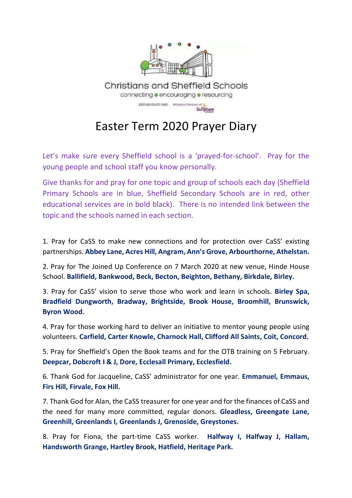

Easter Term 2020 Prayer Diary

Let's make sure every Sheffield school is a 'prayed-for-school'. Pray for the young people and school staff you know personally.

Give thanks for and pray for one topic and group of schools each day (Sheffield Primary Schools are in blue, Sheffield Secondary Schools are in red, other educational services are in bold black). There is no intended link between the topic and the schools named in each section.

1. Pray for CaSS to make new connections and for protection over CaSS' existing partnerships. **Abbey Lane, Acres Hill, Angram, Ann's Grove, Arbourthorne, Athelstan.**

2. Pray for The Joined Up Conference on 7 March 2020 at new venue, Hinde House School. **Ballifield, Bankwood, Beck, Becton, Beighton, Bethany, Birkdale, Birley.** 

3. Pray for CaSS' vision to serve those who work and learn in schools. **Birley Spa, Bradfield Dungworth, Bradway, Brightside, Brook House, Broomhill, Brunswick, Byron Wood.**

4. Pray for those working hard to deliver an initiative to mentor young people using volunteers. **Carfield, Carter Knowle, Charnock Hall, Clifford All Saints, Coit, Concord.** 

5. Pray for Sheffield's Open the Book teams and for the OTB training on 5 February. **Deepcar, Dobcroft I & J, Dore, Ecclesall Primary, Ecclesfield.** 

6. Thank God for Jacqueline, CaSS' administrator for one year. **Emmanuel, Emmaus, Firs Hill, Firvale, Fox Hill.**

7. Thank God for Alan, the CaSS treasurer for one year and for the finances of CaSS and the need for many more committed, regular donors. **Gleadless, Greengate Lane, Greenhill, Greenlands I, Greenlands J, Grenoside, Greystones.** 

8. Pray for Fiona, the part-time CaSS worker. **Halfway I, Halfway J, Hallam, Handsworth Grange, Hartley Brook, Hatfield, Heritage Park.**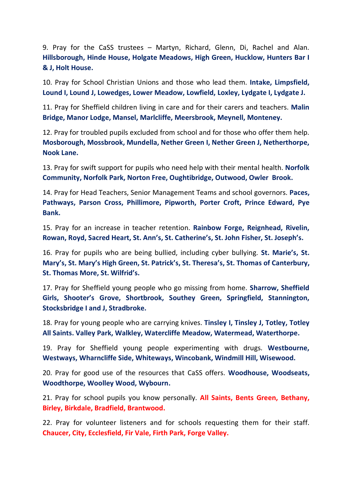9. Pray for the CaSS trustees – Martyn, Richard, Glenn, Di, Rachel and Alan. **Hillsborough, Hinde House, Holgate Meadows, High Green, Hucklow, Hunters Bar I & J, Holt House.**

10. Pray for School Christian Unions and those who lead them. **Intake, Limpsfield, Lound I, Lound J, Lowedges, Lower Meadow, Lowfield, Loxley, Lydgate I, Lydgate J.** 

11. Pray for Sheffield children living in care and for their carers and teachers. **Malin Bridge, Manor Lodge, Mansel, Marlcliffe, Meersbrook, Meynell, Monteney.** 

12. Pray for troubled pupils excluded from school and for those who offer them help. **Mosborough, Mossbrook, Mundella, Nether Green I, Nether Green J, Netherthorpe, Nook Lane.**

13. Pray for swift support for pupils who need help with their mental health. **Norfolk Community, Norfolk Park, Norton Free, Oughtibridge, Outwood, Owler Brook.** 

14. Pray for Head Teachers, Senior Management Teams and school governors. **Paces, Pathways, Parson Cross, Phillimore, Pipworth, Porter Croft, Prince Edward, Pye Bank.** 

15. Pray for an increase in teacher retention. **Rainbow Forge, Reignhead, Rivelin, Rowan, Royd, Sacred Heart, St. Ann's, St. Catherine's, St. John Fisher, St. Joseph's.** 

16. Pray for pupils who are being bullied, including cyber bullying. **St. Marie's, St. Mary's, St. Mary's High Green, St. Patrick's, St. Theresa's, St. Thomas of Canterbury, St. Thomas More, St. Wilfrid's.** 

17. Pray for Sheffield young people who go missing from home. **Sharrow, Sheffield Girls, Shooter's Grove, Shortbrook, Southey Green, Springfield, Stannington, Stocksbridge I and J, Stradbroke.** 

18. Pray for young people who are carrying knives. **Tinsley I, Tinsley J, Totley, Totley All Saints. Valley Park, Walkley, Watercliffe Meadow, Watermead, Waterthorpe.** 

19. Pray for Sheffield young people experimenting with drugs. **Westbourne, Westways, Wharncliffe Side, Whiteways, Wincobank, Windmill Hill, Wisewood.** 

20. Pray for good use of the resources that CaSS offers. **Woodhouse, Woodseats, Woodthorpe, Woolley Wood, Wybourn.** 

21. Pray for school pupils you know personally. **All Saints, Bents Green, Bethany, Birley, Birkdale, Bradfield, Brantwood.** 

22. Pray for volunteer listeners and for schools requesting them for their staff. **Chaucer, City, Ecclesfield, Fir Vale, Firth Park, Forge Valley.**